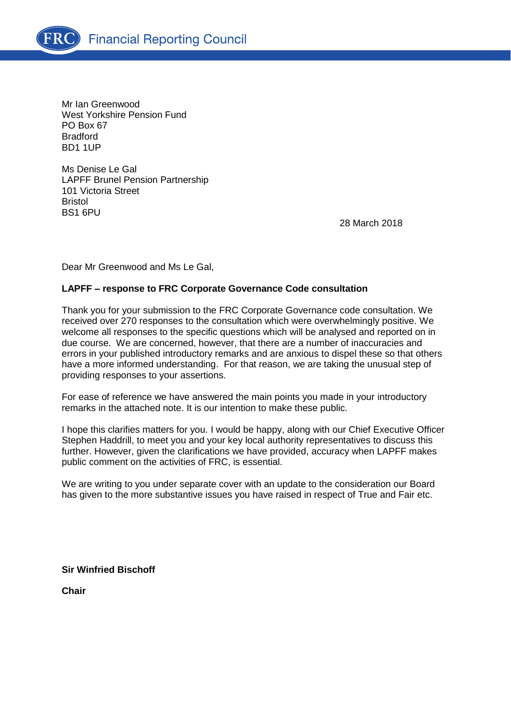

Mr Ian Greenwood West Yorkshire Pension Fund PO Box 67 Bradford BD1 1UP

Ms Denise Le Gal LAPFF Brunel Pension Partnership 101 Victoria Street Bristol BS1 6PU

28 March 2018

Dear Mr Greenwood and Ms Le Gal,

## **LAPFF – response to FRC Corporate Governance Code consultation**

Thank you for your submission to the FRC Corporate Governance code consultation. We received over 270 responses to the consultation which were overwhelmingly positive. We welcome all responses to the specific questions which will be analysed and reported on in due course. We are concerned, however, that there are a number of inaccuracies and errors in your published introductory remarks and are anxious to dispel these so that others have a more informed understanding. For that reason, we are taking the unusual step of providing responses to your assertions.

For ease of reference we have answered the main points you made in your introductory remarks in the attached note. It is our intention to make these public.

I hope this clarifies matters for you. I would be happy, along with our Chief Executive Officer Stephen Haddrill, to meet you and your key local authority representatives to discuss this further. However, given the clarifications we have provided, accuracy when LAPFF makes public comment on the activities of FRC, is essential.

We are writing to you under separate cover with an update to the consideration our Board has given to the more substantive issues you have raised in respect of True and Fair etc.

**Sir Winfried Bischoff**

**Chair**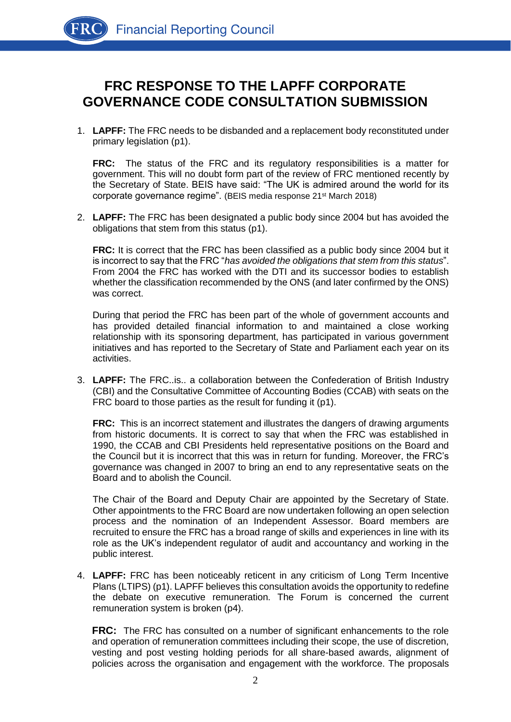## **FRC RESPONSE TO THE LAPFF CORPORATE GOVERNANCE CODE CONSULTATION SUBMISSION**

1. **LAPFF:** The FRC needs to be disbanded and a replacement body reconstituted under primary legislation (p1).

**FRC:** The status of the FRC and its regulatory responsibilities is a matter for government. This will no doubt form part of the review of FRC mentioned recently by the Secretary of State. BEIS have said: "The UK is admired around the world for its corporate governance regime". (BEIS media response 21st March 2018)

2. **LAPFF:** The FRC has been designated a public body since 2004 but has avoided the obligations that stem from this status (p1).

**FRC:** It is correct that the FRC has been classified as a public body since 2004 but it is incorrect to say that the FRC "*has avoided the obligations that stem from this status*". From 2004 the FRC has worked with the DTI and its successor bodies to establish whether the classification recommended by the ONS (and later confirmed by the ONS) was correct.

During that period the FRC has been part of the whole of government accounts and has provided detailed financial information to and maintained a close working relationship with its sponsoring department, has participated in various government initiatives and has reported to the Secretary of State and Parliament each year on its activities.

3. **LAPFF:** The FRC..is.. a collaboration between the Confederation of British Industry (CBI) and the Consultative Committee of Accounting Bodies (CCAB) with seats on the FRC board to those parties as the result for funding it (p1).

**FRC:** This is an incorrect statement and illustrates the dangers of drawing arguments from historic documents. It is correct to say that when the FRC was established in 1990, the CCAB and CBI Presidents held representative positions on the Board and the Council but it is incorrect that this was in return for funding. Moreover, the FRC's governance was changed in 2007 to bring an end to any representative seats on the Board and to abolish the Council.

The Chair of the Board and Deputy Chair are appointed by the Secretary of State. Other appointments to the FRC Board are now undertaken following an open selection process and the nomination of an Independent Assessor. Board members are recruited to ensure the FRC has a broad range of skills and experiences in line with its role as the UK's independent regulator of audit and accountancy and working in the public interest.

4. **LAPFF:** FRC has been noticeably reticent in any criticism of Long Term Incentive Plans (LTIPS) (p1). LAPFF believes this consultation avoids the opportunity to redefine the debate on executive remuneration. The Forum is concerned the current remuneration system is broken (p4).

**FRC:** The FRC has consulted on a number of significant enhancements to the role and operation of remuneration committees including their scope, the use of discretion, vesting and post vesting holding periods for all share-based awards, alignment of policies across the organisation and engagement with the workforce. The proposals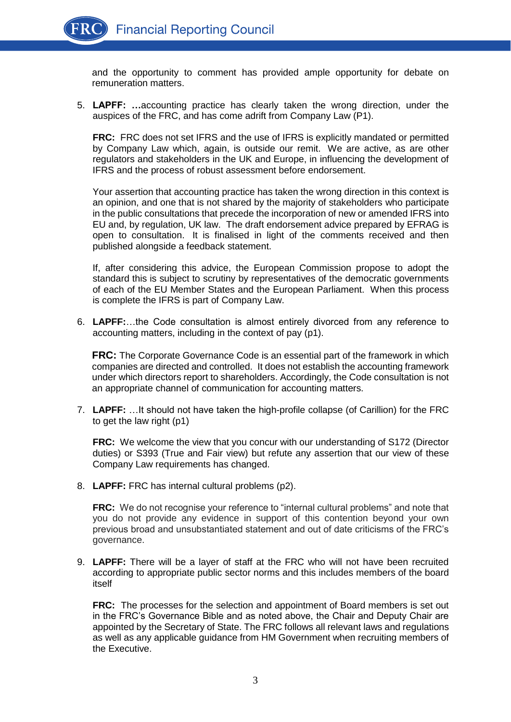and the opportunity to comment has provided ample opportunity for debate on remuneration matters.

5. **LAPFF: …**accounting practice has clearly taken the wrong direction, under the auspices of the FRC, and has come adrift from Company Law (P1).

**FRC:** FRC does not set IFRS and the use of IFRS is explicitly mandated or permitted by Company Law which, again, is outside our remit. We are active, as are other regulators and stakeholders in the UK and Europe, in influencing the development of IFRS and the process of robust assessment before endorsement.

Your assertion that accounting practice has taken the wrong direction in this context is an opinion, and one that is not shared by the majority of stakeholders who participate in the public consultations that precede the incorporation of new or amended IFRS into EU and, by regulation, UK law. The draft endorsement advice prepared by EFRAG is open to consultation. It is finalised in light of the comments received and then published alongside a feedback statement.

If, after considering this advice, the European Commission propose to adopt the standard this is subject to scrutiny by representatives of the democratic governments of each of the EU Member States and the European Parliament. When this process is complete the IFRS is part of Company Law.

6. **LAPFF:**…the Code consultation is almost entirely divorced from any reference to accounting matters, including in the context of pay (p1).

**FRC:** The Corporate Governance Code is an essential part of the framework in which companies are directed and controlled. It does not establish the accounting framework under which directors report to shareholders. Accordingly, the Code consultation is not an appropriate channel of communication for accounting matters.

7. **LAPFF:** …It should not have taken the high-profile collapse (of Carillion) for the FRC to get the law right (p1)

**FRC:** We welcome the view that you concur with our understanding of S172 (Director duties) or S393 (True and Fair view) but refute any assertion that our view of these Company Law requirements has changed.

8. **LAPFF:** FRC has internal cultural problems (p2).

**FRC:** We do not recognise your reference to "internal cultural problems" and note that you do not provide any evidence in support of this contention beyond your own previous broad and unsubstantiated statement and out of date criticisms of the FRC's governance.

9. **LAPFF:** There will be a layer of staff at the FRC who will not have been recruited according to appropriate public sector norms and this includes members of the board itself

**FRC:** The processes for the selection and appointment of Board members is set out in the FRC's Governance Bible and as noted above, the Chair and Deputy Chair are appointed by the Secretary of State. The FRC follows all relevant laws and regulations as well as any applicable guidance from HM Government when recruiting members of the Executive.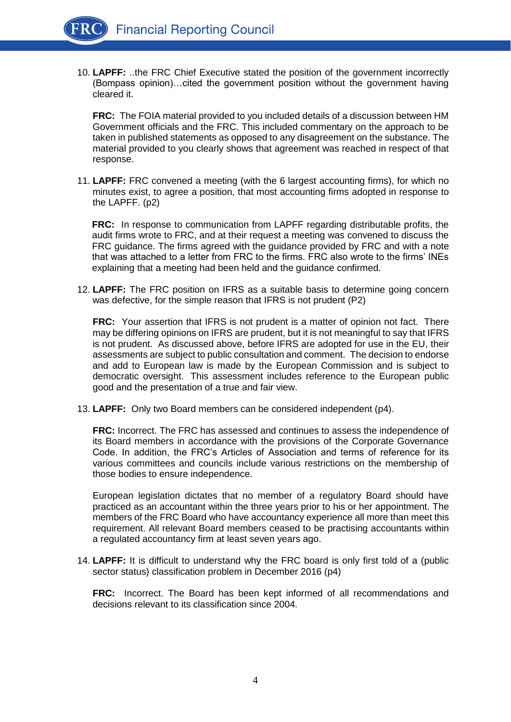10. **LAPFF:** ..the FRC Chief Executive stated the position of the government incorrectly (Bompass opinion)…cited the government position without the government having cleared it.

**FRC:** The FOIA material provided to you included details of a discussion between HM Government officials and the FRC. This included commentary on the approach to be taken in published statements as opposed to any disagreement on the substance. The material provided to you clearly shows that agreement was reached in respect of that response.

11. **LAPFF:** FRC convened a meeting (with the 6 largest accounting firms), for which no minutes exist, to agree a position, that most accounting firms adopted in response to the LAPFF. (p2)

**FRC:** In response to communication from LAPFF regarding distributable profits, the audit firms wrote to FRC, and at their request a meeting was convened to discuss the FRC guidance. The firms agreed with the guidance provided by FRC and with a note that was attached to a letter from FRC to the firms. FRC also wrote to the firms' INEs explaining that a meeting had been held and the guidance confirmed.

12. **LAPFF:** The FRC position on IFRS as a suitable basis to determine going concern was defective, for the simple reason that IFRS is not prudent (P2)

**FRC:** Your assertion that IFRS is not prudent is a matter of opinion not fact. There may be differing opinions on IFRS are prudent, but it is not meaningful to say that IFRS is not prudent. As discussed above, before IFRS are adopted for use in the EU, their assessments are subject to public consultation and comment. The decision to endorse and add to European law is made by the European Commission and is subject to democratic oversight. This assessment includes reference to the European public good and the presentation of a true and fair view.

13. **LAPFF:** Only two Board members can be considered independent (p4).

**FRC:** Incorrect. The FRC has assessed and continues to assess the independence of its Board members in accordance with the provisions of the Corporate Governance Code. In addition, the FRC's Articles of Association and terms of reference for its various committees and councils include various restrictions on the membership of those bodies to ensure independence.

European legislation dictates that no member of a regulatory Board should have practiced as an accountant within the three years prior to his or her appointment. The members of the FRC Board who have accountancy experience all more than meet this requirement. All relevant Board members ceased to be practising accountants within a regulated accountancy firm at least seven years ago.

14. **LAPFF:** It is difficult to understand why the FRC board is only first told of a (public sector status) classification problem in December 2016 (p4)

**FRC:** Incorrect. The Board has been kept informed of all recommendations and decisions relevant to its classification since 2004.